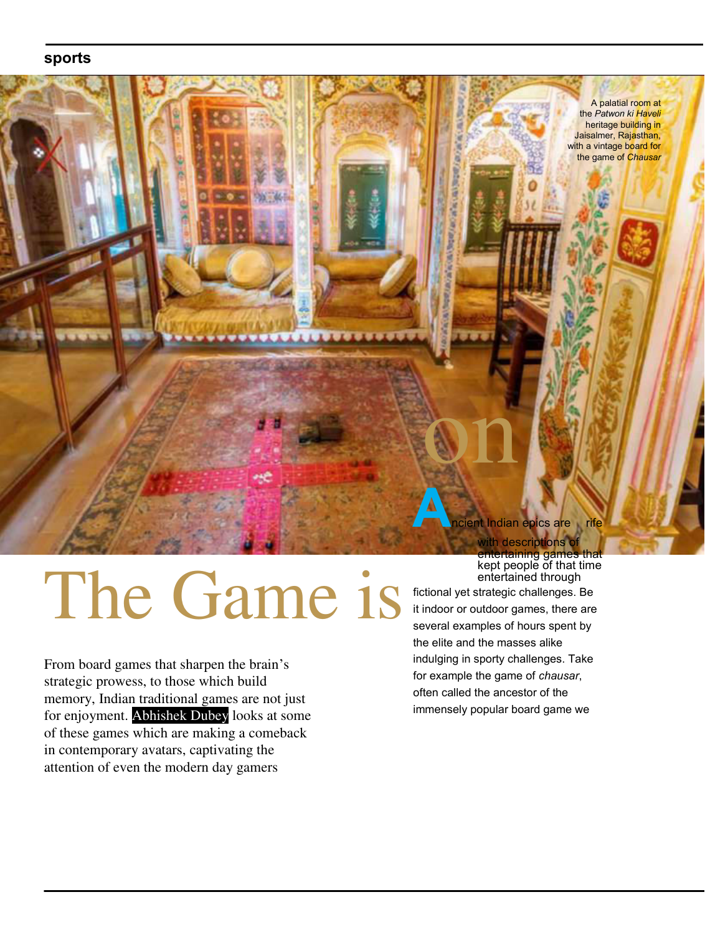# **sports**



# The Game is

From board games that sharpen the brain's strategic prowess, to those which build memory, Indian traditional games are not just for enjoyment. Abhishek Dubey looks at some of these games which are making a comeback in contemporary avatars, captivating the attention of even the modern day gamers

entertaining games that kept people of that time entertained through

fictional yet strategic challenges. Be it indoor or outdoor games, there are several examples of hours spent by the elite and the masses alike indulging in sporty challenges. Take for example the game of *chausar*, often called the ancestor of the immensely popular board game we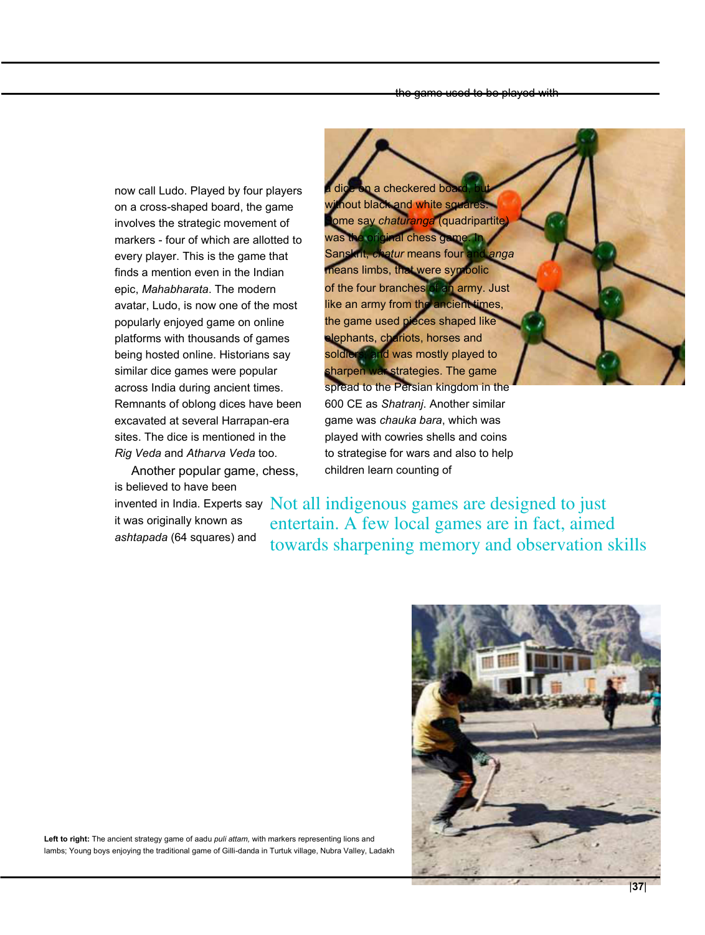now call Ludo. Played by four players on a cross-shaped board, the game involves the strategic movement of markers - four of which are allotted to every player. This is the game that finds a mention even in the Indian epic, *Mahabharata*. The modern avatar, Ludo, is now one of the most popularly enjoyed game on online platforms with thousands of games being hosted online. Historians say similar dice games were popular across India during ancient times. Remnants of oblong dices have been excavated at several Harrapan-era sites. The dice is mentioned in the *Rig Veda* and *Atharva Veda* too.

Another popular game, chess, is believed to have been

it was originally known as *ashtapada* (64 squares) and

checkered bo nout black and white squa ome say *chaturanga* (quadripartite was the original chess game. In Sanskrit, *chatur* means four and *anga* means limbs, that were symbolic of the four branches of an army. Just like an army from the ancient times, the game used pieces shaped like elephants, chariots, horses and soldiers, and was mostly played to sharpen war strategies. The game spread to the Persian kingdom in the 600 CE as *Shatranj*. Another similar game was *chauka bara*, which was played with cowries shells and coins to strategise for wars and also to help children learn counting of

invented in India. Experts say Not all indigenous games are designed to just entertain. A few local games are in fact, aimed towards sharpening memory and observation skills



**Left to right:** The ancient strategy game of aadu *puli attam,* with markers representing lions and lambs; Young boys enjoying the traditional game of Gilli-danda in Turtuk village, Nubra Valley, Ladakh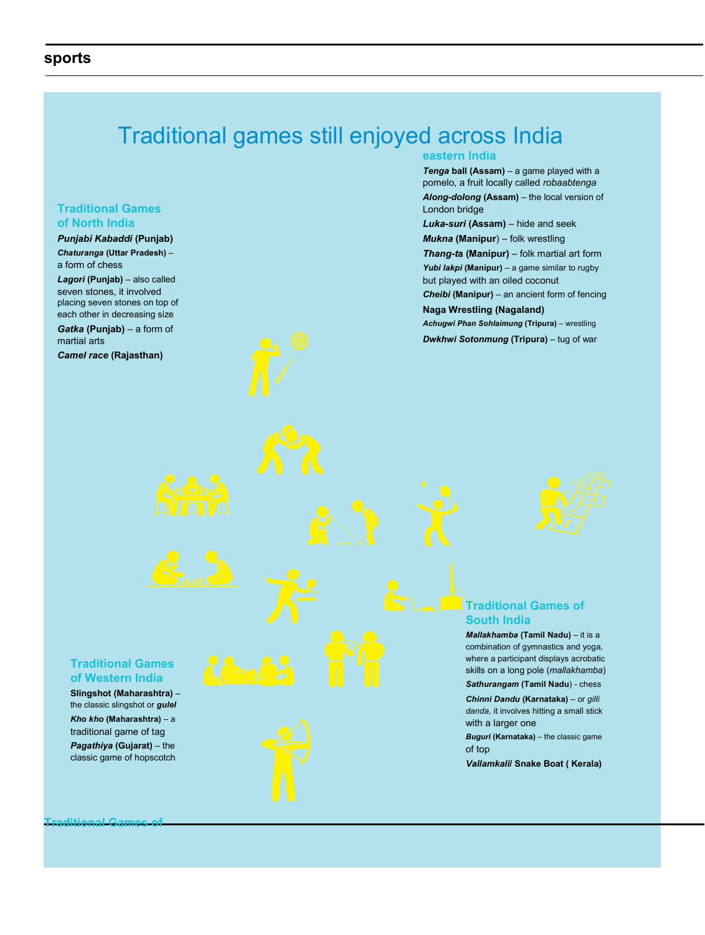# Traditional games still enjoyed across India

### **Traditional Games of North India**

#### *Punjabi Kabaddi* **(Punjab)**

*Chaturanga* **(Uttar Pradesh)** – a form of chess

*Lagori* **(Punjab)** – also called seven stones, it involved placing seven stones on top of each other in decreasing size

*Gatka* **(Punjab)** – a form of martial arts

*Camel race* **(Rajasthan)**

#### **eastern India**

*Tenga* **ball (Assam)** – a game played with a pomelo, a fruit locally called *robaabtenga Along-dolong* **(Assam)** – the local version of London bridge

*Luka-suri* **(Assam)** – hide and seek *Mukna* **(Manipur**) – folk wrestling *Thang-t***a (Manipur)** – folk martial art form *Yubi lakpi* **(Manipur)** – a game similar to rugby but played with an oiled coconut *Cheibi* **(Manipur)** – an ancient form of fencing **Naga Wrestling (Nagaland)**

*Achugwi Phan Sohlaimung* **(Tripura)** – wrestling *Dwkhwi Sotonmung* **(Tripura)** – tug of war



#### **Traditional Games of South India**

*Mallakhamba* **(Tamil Nadu)** – it is a combination of gymnastics and yoga, where a participant displays acrobatic skills on a long pole (*mallakhamba*)

*Sathurangam* **(Tamil Nadu**) - chess *Chinni Dandu* **(Karnataka)** – or *gilli danda*, it involves hitting a small stick with a larger one

*Buguri* **(Karnataka)** – the classic game of top

*Vallamkali***/ Snake Boat ( Kerala)**

#### **Traditional Games of Western India**

**Slingshot (Maharashtra)** – the classic slingshot or *gulel Kho kho* **(Maharashtra)** – a traditional game of tag *Pagathiya* **(Gujarat)** – the classic game of hopscotch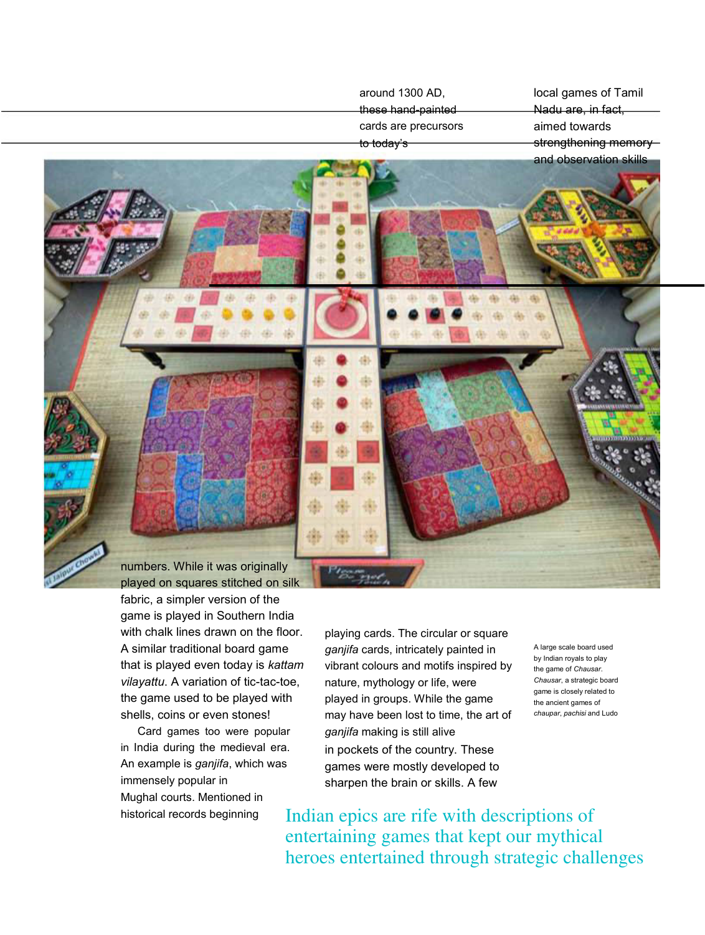these hand-painted cards are precursors to today's Nadu are, in fact, aimed towards strengthening memoryand observation skills

around 1300 AD,

numbers. While it was originally played on squares stitched on silk fabric, a simpler version of the game is played in Southern India with chalk lines drawn on the floor. A similar traditional board game that is played even today is *kattam vilayattu*. A variation of tic-tac-toe, the game used to be played with shells, coins or even stones!

Card games too were popular in India during the medieval era. An example is *ganjifa*, which was immensely popular in Mughal courts. Mentioned in historical records beginning

playing cards. The circular or square *ganjifa* cards, intricately painted in vibrant colours and motifs inspired by nature, mythology or life, were played in groups. While the game may have been lost to time, the art of *ganjifa* making is still alive in pockets of the country. These games were mostly developed to sharpen the brain or skills. A few

A large scale board used by Indian royals to play the game of *Chausar*. *Chausar*, a strategic board game is closely related to the ancient games of *chaupar*, *pachisi* and Ludo

local games of Tamil

Indian epics are rife with descriptions of entertaining games that kept our mythical heroes entertained through strategic challenges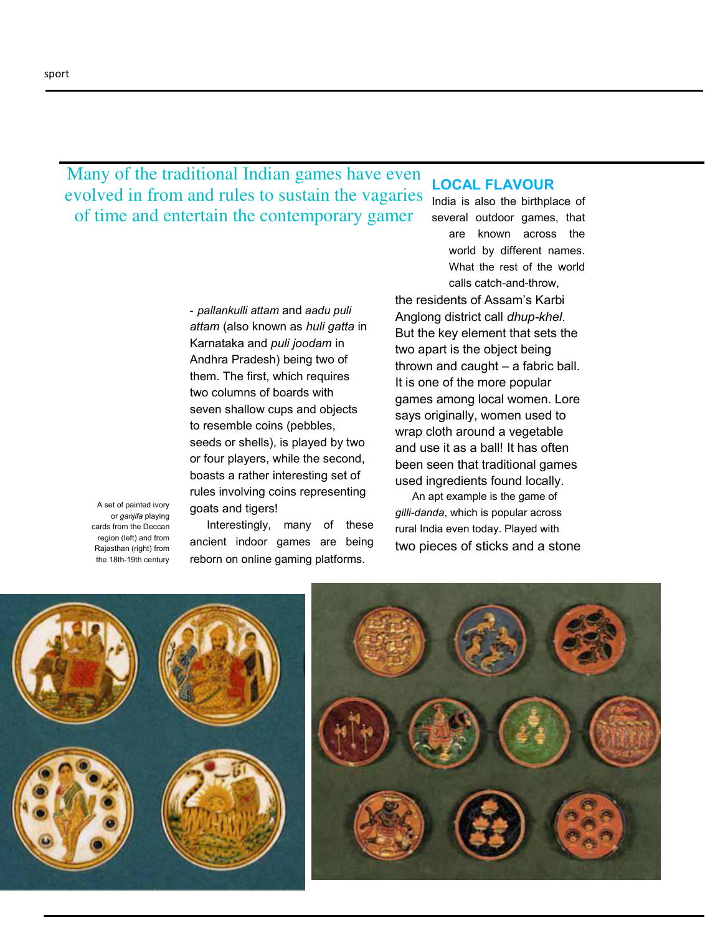Many of the traditional Indian games have even evolved in from and rules to sustain the vagaries of time and entertain the contemporary gamer

> - *pallankulli attam* and *aadu puli attam* (also known as *huli gatta* in Karnataka and *puli joodam* in Andhra Pradesh) being two of them. The first, which requires two columns of boards with seven shallow cups and objects to resemble coins (pebbles, seeds or shells), is played by two or four players, while the second, boasts a rather interesting set of rules involving coins representing goats and tigers!

A set of painted ivory or *ganjifa* playing cards from the Deccan region (left) and from Rajasthan (right) from the 18th-19th century

Interestingly, many of these ancient indoor games are being reborn on online gaming platforms.

## **LOCAL FLAVOUR**

India is also the birthplace of several outdoor games, that are known across the world by different names. What the rest of the world calls catch-and-throw,

the residents of Assam's Karbi Anglong district call *dhup-khel*. But the key element that sets the two apart is the object being thrown and caught – a fabric ball. It is one of the more popular games among local women. Lore says originally, women used to wrap cloth around a vegetable and use it as a ball! It has often been seen that traditional games used ingredients found locally.

An apt example is the game of *gilli-danda*, which is popular across rural India even today. Played with two pieces of sticks and a stone



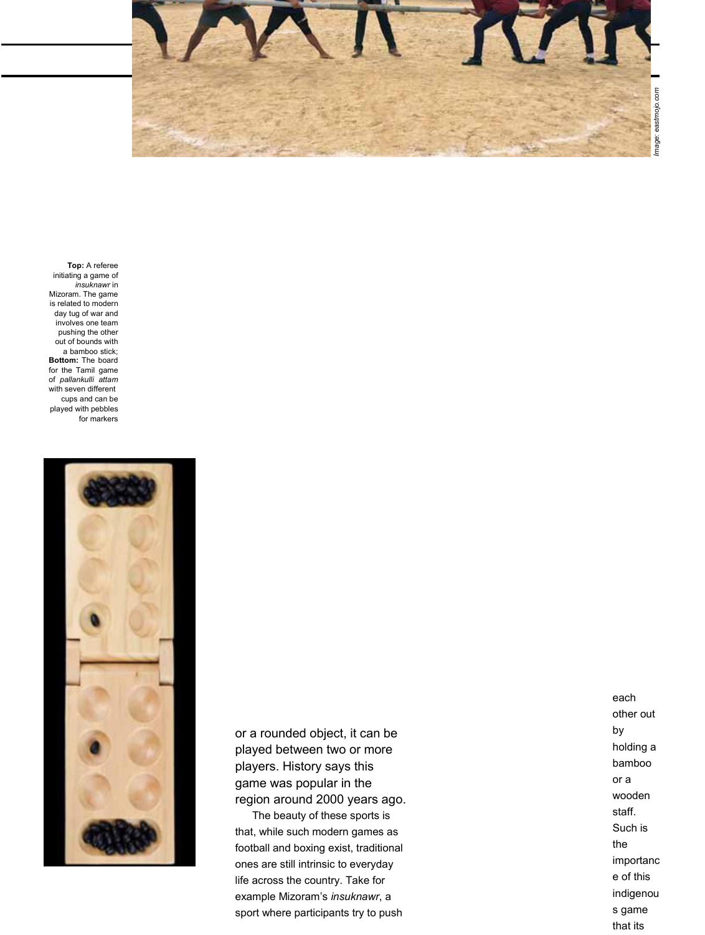

**Top:** A referee initiating a game of *insuknawr* in Mizoram. The game is related to modern day tug of war and involves one team pushing the other out of bounds with a bamboo stick; **Bottom:** The board for the Tamil game of *pallankulli attam* with seven different cups and can be played with pebbles for markers



or a rounded object, it can be played between two or more players. History says this game was popular in the region around 2000 years ago.

The beauty of these sports is that, while such modern games as football and boxing exist, traditional ones are still intrinsic to everyday life across the country. Take for example Mizoram's *insuknawr*, a sport where participants try to push

each other out by holding a bamboo or a wooden staff. Such is the importanc e of this indigenou s game that its